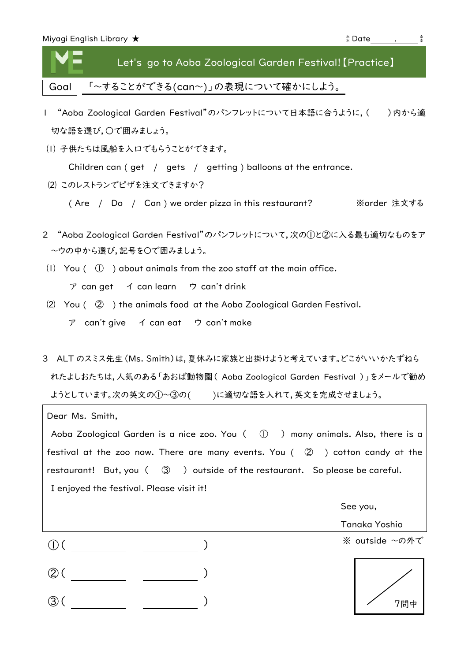| Miyagi English Library $\bigstar$ |                                                         | i Date ് |  |
|-----------------------------------|---------------------------------------------------------|----------|--|
|                                   | Let's go to Aoba Zoological Garden Festival! [Practice] |          |  |
|                                   | Goal   「~することができる(can~)」の表現について確かにしよう。                  |          |  |

- l "Aoba Zoological Garden Festival"のパンフレットについて日本語に合うように, ( )内から適 切な語を選び,○で囲みましょう。
- ⑴ 子供たちは風船を入口でもらうことができます。

Children can (get / gets / getting ) balloons at the entrance.

⑵ このレストランでピザを注文できますか?

( Are / Do / Can ) we order pizza in this restaurant? ※order 注文する

- 2 "Aoba Zoological Garden Festival"のパンフレットについて,次の①と②に入る最も適切なものをア ~ウの中から選び,記号を〇で囲みましょう。
- (1) You  $( \circled{1} )$  about animals from the zoo staff at the main office. ア can get イ can learn ウ can't drink
- ⑵ You ( ② ) the animals food at the Aoba Zoological Garden Festival. ア can't give イ can eat ウ can't make
- 3 ALT のスミス先生(Ms. Smith)は,夏休みに家族と出掛けようと考えています。どこがいいかたずねら れたよしおたちは,人気のある「あおば動物園( Aoba Zoological Garden Festival )」をメールで勧め ようとしています。次の英文の①~③の( )に適切な語を入れて,英文を完成させましょう。

|                                                                                         | Dear Ms. Smith,                                                                                          |  |  |  |  |
|-----------------------------------------------------------------------------------------|----------------------------------------------------------------------------------------------------------|--|--|--|--|
|                                                                                         | Aoba Zoological Garden is a nice zoo. You $( \  \  \, \mathbb{O} \  \  )$ many animals. Also, there is a |  |  |  |  |
| festival at the zoo now. There are many events. You $($ $\odot$ $)$ cotton candy at the |                                                                                                          |  |  |  |  |
|                                                                                         | restaurant! But, you $($ $\circled{3}$ $)$ outside of the restaurant. So please be careful.              |  |  |  |  |
|                                                                                         | I enjoyed the festival. Please visit it!                                                                 |  |  |  |  |
|                                                                                         | See you,                                                                                                 |  |  |  |  |
|                                                                                         | Tanaka Yoshio                                                                                            |  |  |  |  |
|                                                                                         | ※ outside ~の外で                                                                                           |  |  |  |  |
|                                                                                         |                                                                                                          |  |  |  |  |
|                                                                                         | 7問                                                                                                       |  |  |  |  |